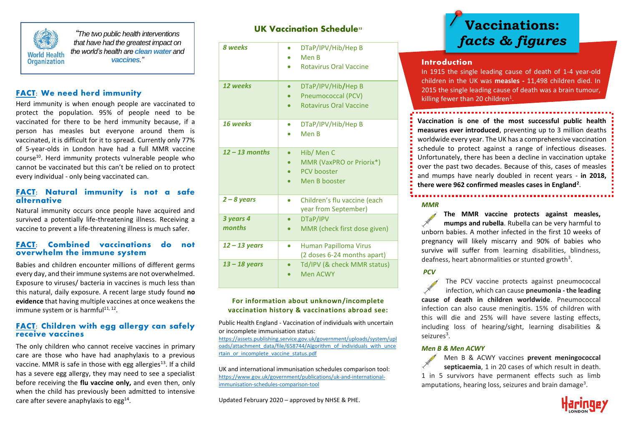

*"The two public health interventions that have had the greatest impact on the world's health are clean water and vaccines."*

## **FACT:** We need herd immunity

Herd immunity is when enough people are vaccinated to protect the population. 95% of people need to be vaccinated for there to be herd immunity because, if a person has measles but everyone around them is vaccinated, it is difficult for it to spread. Currently only 77% of 5-year-olds in London have had a full MMR vaccine course<sup>10</sup>. Herd immunity protects vulnerable people who cannot be vaccinated but this can't be relied on to protect every individual - only being vaccinated can.

#### **FACT: Natural immunity is not a safe alternative**

Natural immunity occurs once people have acquired and survived a potentially life-threatening illness. Receiving a vaccine to prevent a life-threatening illness is much safer.

#### **FACT: Combined vaccinations do not overwhelm the immune system**

Babies and children encounter millions of different germs every day, and their immune systems are not overwhelmed. Exposure to viruses/ bacteria in vaccines is much less than this natural, daily exposure. A recent large study found **no evidence** that having multiple vaccines at once weakens the immune system or is harmful<sup>11, 12</sup>.

### **FACT: Children with egg allergy can safely receive vaccines**

The only children who cannot receive vaccines in primary care are those who have had anaphylaxis to a previous vaccine. MMR is safe in those with egg allergies<sup>13</sup>. If a child has a severe egg allergy, they may need to see a specialist before receiving the **flu vaccine only,** and even then, only when the child has previously been admitted to intensive care after severe anaphylaxis to egg<sup>14</sup>.

|  | <b>UK Vaccination Schedule</b> <sup>15</sup> |  |
|--|----------------------------------------------|--|
|  |                                              |  |

| 8 weeks             | DTaP/IPV/Hib/Hep B<br>Men B<br><b>Rotavirus Oral Vaccine</b>                  |
|---------------------|-------------------------------------------------------------------------------|
| 12 weeks            | DTaP/IPV/Hib/Hep B<br>Pneumococcal (PCV)<br><b>Rotavirus Oral Vaccine</b>     |
| 16 weeks            | DTaP/IPV/Hib/Hep B<br>Men B                                                   |
| $12 - 13$ months    | Hib/ Men C<br>MMR (VaxPRO or Priorix*)<br><b>PCV</b> booster<br>Men B booster |
| $2 - 8$ years       | Children's flu vaccine (each<br>year from September)                          |
| 3 years 4<br>months | DTaP/IPV<br>MMR (check first dose given)                                      |
| $12 - 13$ years     | Human Papilloma Virus<br>0<br>(2 doses 6-24 months apart)                     |
| $13 - 18$ years     | Td/IPV (& check MMR status)<br>Men ACWY                                       |

#### **For information about unknown/incomplete vaccination history & vaccinations abroad see:**

Public Health England - Vaccination of individuals with uncertain or incomplete immunisation status:

[https://assets.publishing.service.gov.uk/government/uploads/system/upl](https://assets.publishing.service.gov.uk/government/uploads/system/uploads/attachment_data/file/658744/Algorithm_of_individuals_with_uncertain_or_incomplete_vaccine_status.pdf) [oads/attachment\\_data/file/658744/Algorithm\\_of\\_individuals\\_with\\_unce](https://assets.publishing.service.gov.uk/government/uploads/system/uploads/attachment_data/file/658744/Algorithm_of_individuals_with_uncertain_or_incomplete_vaccine_status.pdf) [rtain\\_or\\_incomplete\\_vaccine\\_status.pdf](https://assets.publishing.service.gov.uk/government/uploads/system/uploads/attachment_data/file/658744/Algorithm_of_individuals_with_uncertain_or_incomplete_vaccine_status.pdf)

UK and international immunisation schedules comparison tool: [https://www.gov.uk/government/publications/uk-and-international](https://www.gov.uk/government/publications/uk-and-international-immunisation-schedules-comparison-tool)[immunisation-schedules-comparison-tool](https://www.gov.uk/government/publications/uk-and-international-immunisation-schedules-comparison-tool)

Updated February 2020 – approved by NHSE & PHE.

# **Vaccinations:**  *facts & figures*

#### **Introduction**

In 1915 the single leading cause of death of 1-4 year-old children in the UK was **measles -** 11,498 children died. In 2015 the single leading cause of death was a brain tumour, killing fewer than 20 children<sup>1</sup>.

**Vaccination is one of the most successful public health measures ever introduced**, preventing up to 3 million deaths worldwide every year. The UK has a comprehensive vaccination schedule to protect against a range of infectious diseases. Unfortunately, there has been a decline in vaccination uptake over the past two decades. Because of this, cases of measles and mumps have nearly doubled in recent years - **in 2018, there were 962 confirmed measles cases in England<sup>2</sup>** .

#### *MMR*

**The MMR vaccine protects against measles, mumps and rubella**. Rubella can be very harmful to unborn babies. A mother infected in the first 10 weeks of pregnancy will likely miscarry and 90% of babies who survive will suffer from learning disabilities, blindness, deafness, heart abnormalities or stunted growth<sup>3</sup>.

#### *PCV*

The PCV vaccine protects against pneumococcal infection, which can cause **pneumonia - the leading cause of death in children worldwide**. Pneumococcal infection can also cause meningitis. 15% of children with this will die and 25% will have severe lasting effects, including loss of hearing/sight, learning disabilities & seizures<sup>3</sup>.

#### *Men B & Men ACWY*

Men B & ACWY vaccines **prevent meningococcal septicaemia**, 1 in 20 cases of which result in death. 1 in 5 survivors have permanent effects such as limb amputations, hearing loss, seizures and brain damage<sup>3</sup>.